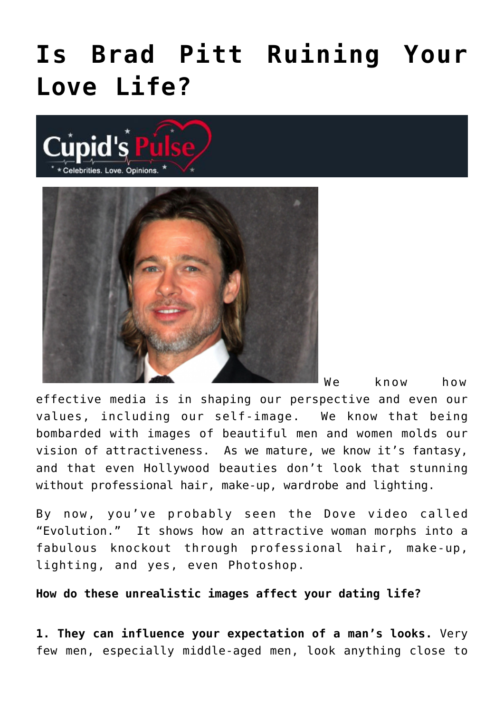## **[Is Brad Pitt Ruining Your](https://cupidspulse.com/8283/is-brad-pitt-ruining-your-love-life/) [Love Life?](https://cupidspulse.com/8283/is-brad-pitt-ruining-your-love-life/)**





We know how

effective media is in shaping our perspective and even our values, including our self-image. We know that being bombarded with images of beautiful men and women molds our vision of attractiveness. As we mature, we know it's fantasy, and that even Hollywood beauties don't look that stunning without professional hair, make-up, wardrobe and lighting.

By now, you've probably seen the Dove video called "Evolution." It shows how an attractive woman morphs into a fabulous knockout through professional hair, make-up, lighting, and yes, even Photoshop.

**How do these unrealistic images affect your dating life?**

**1. They can influence your expectation of a man's looks.** Very few men, especially middle-aged men, look anything close to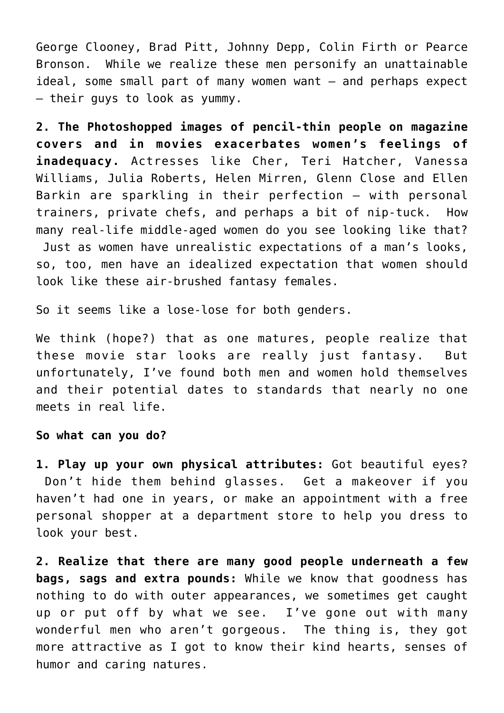George Clooney, Brad Pitt, Johnny Depp, Colin Firth or Pearce Bronson. While we realize these men personify an unattainable ideal, some small part of many women want – and perhaps expect – their guys to look as yummy.

**2. The Photoshopped images of pencil-thin people on magazine covers and in movies exacerbates women's feelings of inadequacy.** Actresses like Cher, Teri Hatcher, Vanessa Williams, Julia Roberts, Helen Mirren, Glenn Close and Ellen Barkin are sparkling in their perfection — with personal trainers, private chefs, and perhaps a bit of nip-tuck. How many real-life middle-aged women do you see looking like that? Just as women have unrealistic expectations of a man's looks, so, too, men have an idealized expectation that women should look like these air-brushed fantasy females.

So it seems like a lose-lose for both genders.

We think (hope?) that as one matures, people realize that these movie star looks are really just fantasy. But unfortunately, I've found both men and women hold themselves and their potential dates to standards that nearly no one meets in real life.

**So what can you do?**

**1. Play up your own physical attributes:** Got beautiful eyes? Don't hide them behind glasses. Get a makeover if you haven't had one in years, or make an appointment with a free personal shopper at a department store to help you dress to look your best.

**2. Realize that there are many good people underneath a few bags, sags and extra pounds:** While we know that goodness has nothing to do with outer appearances, we sometimes get caught up or put off by what we see. I've gone out with many wonderful men who aren't gorgeous. The thing is, they got more attractive as I got to know their kind hearts, senses of humor and caring natures.